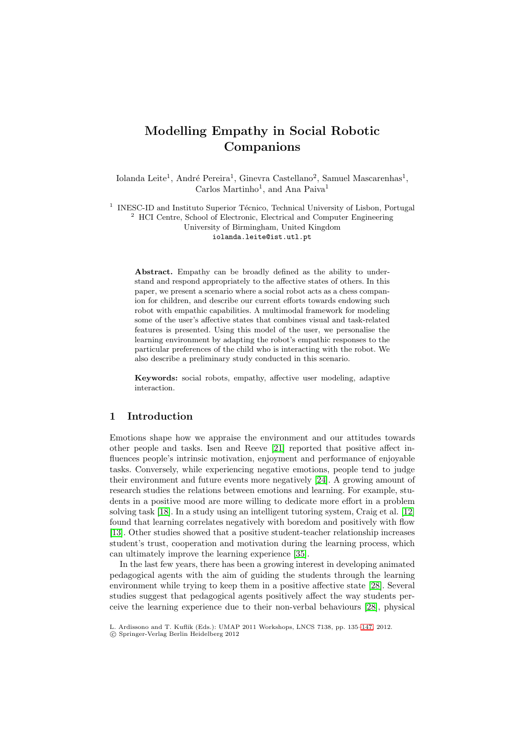# **Modelling Empathy in Social Robotic Companions**

Iolanda Leite<sup>1</sup>, André Pereira<sup>1</sup>, Ginevra Castellano<sup>2</sup>, Samuel Mascarenhas<sup>1</sup>, Carlos Martinho<sup>1</sup>, and Ana Paiva<sup>1</sup>

 $^{\rm 1}$  INESC-ID and Instituto Superior Técnico, Technical University of Lisbon, Portugal <sup>2</sup> HCI Centre, School of Electronic, Electrical and Computer Engineering University of Birmingham, United Kingdom iolanda.leite@ist.utl.pt

**Abstract.** Empathy can be broadly defined as the ability to understand and respond appropriately to the affective states of others. In this paper, we present a scenario where a social robot acts as a chess companion for children, and describe our current efforts towards endowing such robot with empathic capabilities. A multimodal framework for modeling some of the user's affective states that combines visual and task-related features is presented. Using this model of the user, we personalise the learning environment by adapting the robot's empathic responses to the particular preferences of the child who is interacting with the robot. We also describe a preliminary study conducted in this scenario.

**Keywords:** social robots, empathy, affective user modeling, adaptive interaction.

## **1 Introduction**

Emotions shape how we appraise the environment and our attitudes towards other people and tasks. Isen and Reeve [\[21\]](#page-12-0) reported that positive affect influences people's intrinsic motivation, enjoyment and performance of enjoyable tasks. Conversely, while experiencing negative emotions, people tend to judge their environment and future events more negatively [\[24\]](#page-12-1). A growing amount of research studies the relations between emotions and learning. For example, students in a positive mood are more willing to dedicate more effort in a problem solving task [\[18\]](#page-11-0). In a study using an intelligent tutoring system, Craig et al. [\[12\]](#page-11-1) found that learning correlates negatively with boredom and positively with flow [\[13\]](#page-11-2). Other studies showed that a positive student-teacher relationship increases student's trust, cooperation and motivation during the learning process, which can ultimately improve the learning experience [\[35\]](#page-12-2).

In the last few years, there has been a growing interest in developing animated pedagogical agents with the aim of guiding the students through the learning environment while trying to keep them in a positive affective state [\[28\]](#page-12-3). Several studies suggest that pedagogical agents positively affect the way students perceive the learning experience due to their non-verbal behaviours [\[28\]](#page-12-3), physical

L. Ardissono and T. Kuflik (Eds.): UMAP 2011 Workshops, LNCS 7138, pp. 135[–147,](#page-10-0) 2012.

<sup>-</sup>c Springer-Verlag Berlin Heidelberg 2012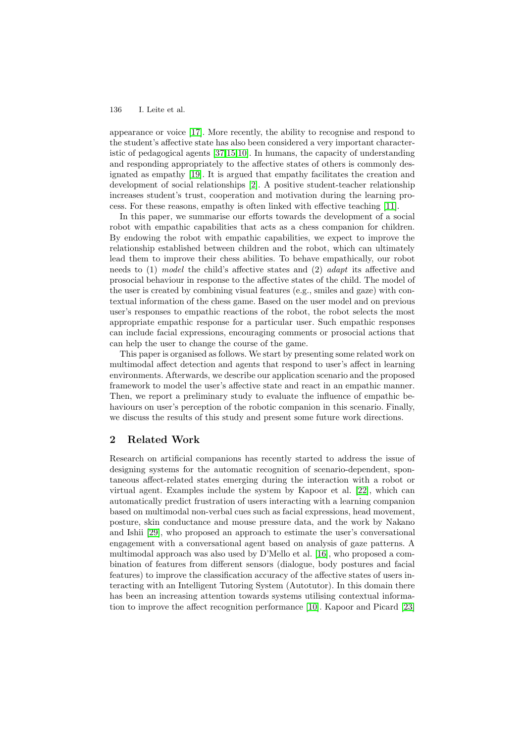appearance or voice [\[17\]](#page-11-3). More recently, the ability to recognise and respond to the student's affective state has also been considered a very important characteristic of pedagogical agents [\[37,](#page-12-4)[15,](#page-11-4)[10\]](#page-11-5). In humans, the capacity of understanding and responding appropriately to the affective states of others is commonly designated as empathy [\[19\]](#page-11-6). It is argued that empathy facilitates the creation and development of social relationships [\[2\]](#page-11-7). A positive student-teacher relationship increases student's trust, cooperation and motivation during the learning process. For these reasons, empathy is often linked with effective teaching [\[11\]](#page-11-8).

In this paper, we summarise our efforts towards the development of a social robot with empathic capabilities that acts as a chess companion for children. By endowing the robot with empathic capabilities, we expect to improve the relationship established between children and the robot, which can ultimately lead them to improve their chess abilities. To behave empathically, our robot needs to (1) *model* the child's affective states and (2) *adapt* its affective and prosocial behaviour in response to the affective states of the child. The model of the user is created by combining visual features (e.g., smiles and gaze) with contextual information of the chess game. Based on the user model and on previous user's responses to empathic reactions of the robot, the robot selects the most appropriate empathic response for a particular user. Such empathic responses can include facial expressions, encouraging comments or prosocial actions that can help the user to change the course of the game.

This paper is organised as follows. We start by presenting some related work on multimodal affect detection and agents that respond to user's affect in learning environments. Afterwards, we describe our application scenario and the proposed framework to model the user's affective state and react in an empathic manner. Then, we report a preliminary study to evaluate the influence of empathic behaviours on user's perception of the robotic companion in this scenario. Finally, we discuss the results of this study and present some future work directions.

# **2 Related Work**

Research on artificial companions has recently started to address the issue of designing systems for the automatic recognition of scenario-dependent, spontaneous affect-related states emerging during the interaction with a robot or virtual agent. Examples include the system by Kapoor et al. [\[22\]](#page-12-5), which can automatically predict frustration of users interacting with a learning companion based on multimodal non-verbal cues such as facial expressions, head movement, posture, skin conductance and mouse pressure data, and the work by Nakano and Ishii [\[29\]](#page-12-6), who proposed an approach to estimate the user's conversational engagement with a conversational agent based on analysis of gaze patterns. A multimodal approach was also used by D'Mello et al. [\[16\]](#page-11-9), who proposed a combination of features from different sensors (dialogue, body postures and facial features) to improve the classification accuracy of the affective states of users interacting with an Intelligent Tutoring System (Autotutor). In this domain there has been an increasing attention towards systems utilising contextual information to improve the affect recognition performance [\[10\]](#page-11-5). Kapoor and Picard [\[23\]](#page-12-7)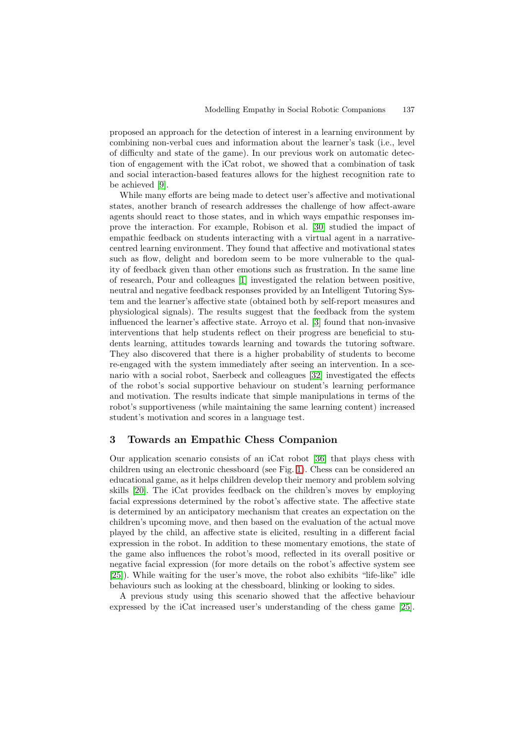proposed an approach for the detection of interest in a learning environment by combining non-verbal cues and information about the learner's task (i.e., level of difficulty and state of the game). In our previous work on automatic detection of engagement with the iCat robot, we showed that a combination of task and social interaction-based features allows for the highest recognition rate to be achieved [\[9\]](#page-11-10).

While many efforts are being made to detect user's affective and motivational states, another branch of research addresses the challenge of how affect-aware agents should react to those states, and in which ways empathic responses improve the interaction. For example, Robison et al. [\[30\]](#page-12-8) studied the impact of empathic feedback on students interacting with a virtual agent in a narrativecentred learning environment. They found that affective and motivational states such as flow, delight and boredom seem to be more vulnerable to the quality of feedback given than other emotions such as frustration. In the same line of research, Pour and colleagues [\[1\]](#page-10-0) investigated the relation between positive, neutral and negative feedback responses provided by an Intelligent Tutoring System and the learner's affective state (obtained both by self-report measures and physiological signals). The results suggest that the feedback from the system influenced the learner's affective state. Arroyo et al. [\[3\]](#page-11-11) found that non-invasive interventions that help students reflect on their progress are beneficial to students learning, attitudes towards learning and towards the tutoring software. They also discovered that there is a higher probability of students to become re-engaged with the system immediately after seeing an intervention. In a scenario with a social robot, Saerbeck and colleagues [\[32\]](#page-12-9) investigated the effects of the robot's social supportive behaviour on student's learning performance and motivation. The results indicate that simple manipulations in terms of the robot's supportiveness (while maintaining the same learning content) increased student's motivation and scores in a language test.

## **3 Towards an Empathic Chess Companion**

Our application scenario consists of an iCat robot [\[36\]](#page-12-10) that plays chess with children using an electronic chessboard (see Fig. [1\)](#page-3-0). Chess can be considered an educational game, as it helps children develop their memory and problem solving skills [\[20\]](#page-11-12). The iCat provides feedback on the children's moves by employing facial expressions determined by the robot's affective state. The affective state is determined by an anticipatory mechanism that creates an expectation on the children's upcoming move, and then based on the evaluation of the actual move played by the child, an affective state is elicited, resulting in a different facial expression in the robot. In addition to these momentary emotions, the state of the game also influences the robot's mood, reflected in its overall positive or negative facial expression (for more details on the robot's affective system see [\[25\]](#page-12-11)). While waiting for the user's move, the robot also exhibits "life-like" idle behaviours such as looking at the chessboard, blinking or looking to sides.

A previous study using this scenario showed that the affective behaviour expressed by the iCat increased user's understanding of the chess game [\[25\]](#page-12-11).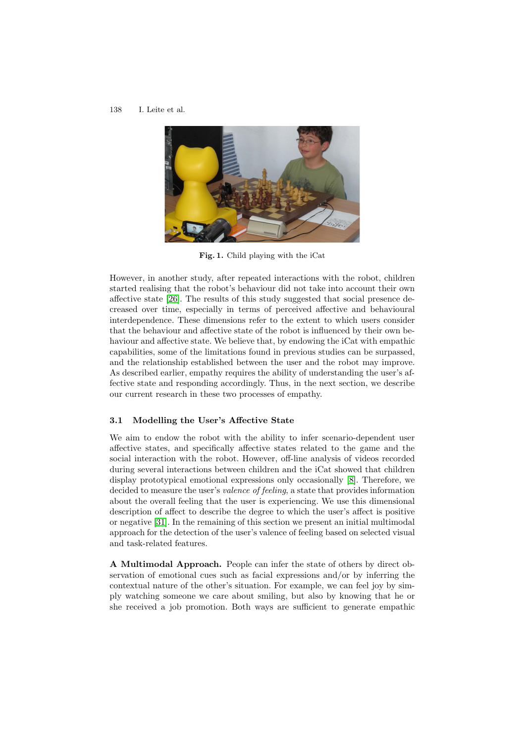<span id="page-3-0"></span>

**Fig. 1.** Child playing with the iCat

However, in another study, after repeated interactions with the robot, children started realising that the robot's behaviour did not take into account their own affective state [\[26\]](#page-12-12). The results of this study suggested that social presence decreased over time, especially in terms of perceived affective and behavioural interdependence. These dimensions refer to the extent to which users consider that the behaviour and affective state of the robot is influenced by their own behaviour and affective state. We believe that, by endowing the iCat with empathic capabilities, some of the limitations found in previous studies can be surpassed, and the relationship established between the user and the robot may improve. As described earlier, empathy requires the ability of understanding the user's affective state and responding accordingly. Thus, in the next section, we describe our current research in these two processes of empathy.

### **3.1 Modelling the User's Affective State**

We aim to endow the robot with the ability to infer scenario-dependent user affective states, and specifically affective states related to the game and the social interaction with the robot. However, off-line analysis of videos recorded during several interactions between children and the iCat showed that children display prototypical emotional expressions only occasionally [\[8\]](#page-11-13). Therefore, we decided to measure the user's *valence of feeling*, a state that provides information about the overall feeling that the user is experiencing. We use this dimensional description of affect to describe the degree to which the user's affect is positive or negative [\[31\]](#page-12-13). In the remaining of this section we present an initial multimodal approach for the detection of the user's valence of feeling based on selected visual and task-related features.

**A Multimodal Approach.** People can infer the state of others by direct observation of emotional cues such as facial expressions and/or by inferring the contextual nature of the other's situation. For example, we can feel joy by simply watching someone we care about smiling, but also by knowing that he or she received a job promotion. Both ways are sufficient to generate empathic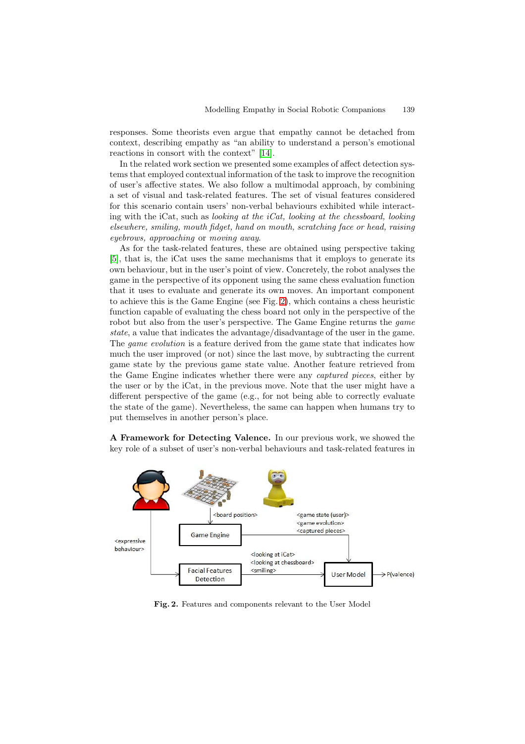responses. Some theorists even argue that empathy cannot be detached from context, describing empathy as "an ability to understand a person's emotional reactions in consort with the context" [\[14\]](#page-11-14).

In the related work section we presented some examples of affect detection systems that employed contextual information of the task to improve the recognition of user's affective states. We also follow a multimodal approach, by combining a set of visual and task-related features. The set of visual features considered for this scenario contain users' non-verbal behaviours exhibited while interacting with the iCat, such as *looking at the iCat, looking at the chessboard, looking elsewhere, smiling, mouth fidget, hand on mouth, scratching face or head, raising eyebrows, approaching* or *moving away*.

As for the task-related features, these are obtained using perspective taking [\[5\]](#page-11-15), that is, the iCat uses the same mechanisms that it employs to generate its own behaviour, but in the user's point of view. Concretely, the robot analyses the game in the perspective of its opponent using the same chess evaluation function that it uses to evaluate and generate its own moves. An important component to achieve this is the Game Engine (see Fig. [2\)](#page-4-0), which contains a chess heuristic function capable of evaluating the chess board not only in the perspective of the robot but also from the user's perspective. The Game Engine returns the *game state*, a value that indicates the advantage/disadvantage of the user in the game. The *game evolution* is a feature derived from the game state that indicates how much the user improved (or not) since the last move, by subtracting the current game state by the previous game state value. Another feature retrieved from the Game Engine indicates whether there were any *captured pieces*, either by the user or by the iCat, in the previous move. Note that the user might have a different perspective of the game (e.g., for not being able to correctly evaluate the state of the game). Nevertheless, the same can happen when humans try to put themselves in another person's place.

**A Framework for Detecting Valence.** In our previous work, we showed the key role of a subset of user's non-verbal behaviours and task-related features in

<span id="page-4-0"></span>

**Fig. 2.** Features and components relevant to the User Model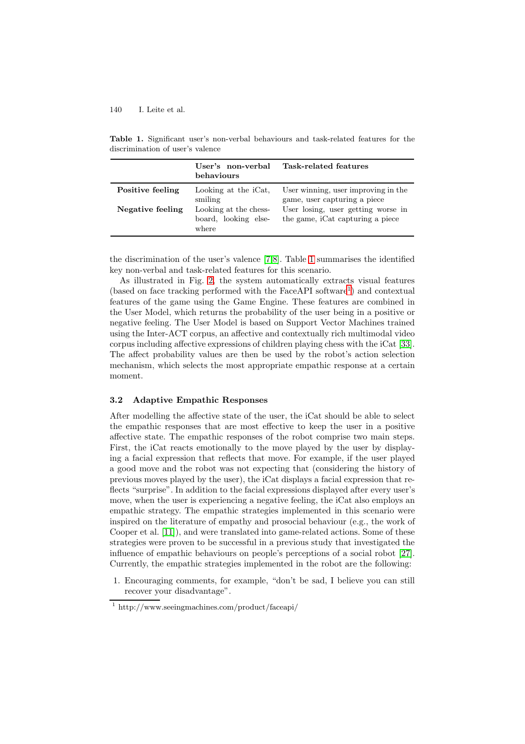<span id="page-5-0"></span>**Table 1.** Significant user's non-verbal behaviours and task-related features for the discrimination of user's valence

|                  | User's non-verbal<br>behaviours                        | Task-related features                                                  |
|------------------|--------------------------------------------------------|------------------------------------------------------------------------|
| Positive feeling | Looking at the iCat.<br>smiling                        | User winning, user improving in the<br>game, user capturing a piece    |
| Negative feeling | Looking at the chess-<br>board, looking else-<br>where | User losing, user getting worse in<br>the game, iCat capturing a piece |

the discrimination of the user's valence [\[7](#page-11-16)[,8\]](#page-11-13). Table [1](#page-5-0) summarises the identified key non-verbal and task-related features for this scenario.

As illustrated in Fig. [2,](#page-4-0) the system automatically extracts visual features (based on face tracking performed with the Face API software<sup>[1](#page-5-1)</sup>) and contextual features of the game using the Game Engine. These features are combined in the User Model, which returns the probability of the user being in a positive or negative feeling. The User Model is based on Support Vector Machines trained using the Inter-ACT corpus, an affective and contextually rich multimodal video corpus including affective expressions of children playing chess with the iCat [\[33\]](#page-12-14). The affect probability values are then be used by the robot's action selection mechanism, which selects the most appropriate empathic response at a certain moment.

### **3.2 Adaptive Empathic Responses**

After modelling the affective state of the user, the iCat should be able to select the empathic responses that are most effective to keep the user in a positive affective state. The empathic responses of the robot comprise two main steps. First, the iCat reacts emotionally to the move played by the user by displaying a facial expression that reflects that move. For example, if the user played a good move and the robot was not expecting that (considering the history of previous moves played by the user), the iCat displays a facial expression that reflects "surprise". In addition to the facial expressions displayed after every user's move, when the user is experiencing a negative feeling, the iCat also employs an empathic strategy. The empathic strategies implemented in this scenario were inspired on the literature of empathy and prosocial behaviour (e.g., the work of Cooper et al. [\[11\]](#page-11-8)), and were translated into game-related actions. Some of these strategies were proven to be successful in a previous study that investigated the influence of empathic behaviours on people's perceptions of a social robot [\[27\]](#page-12-15). Currently, the empathic strategies implemented in the robot are the following:

1. Encouraging comments, for example, "don't be sad, I believe you can still recover your disadvantage".

<span id="page-5-1"></span> $1$  http://www.seeingmachines.com/product/faceapi/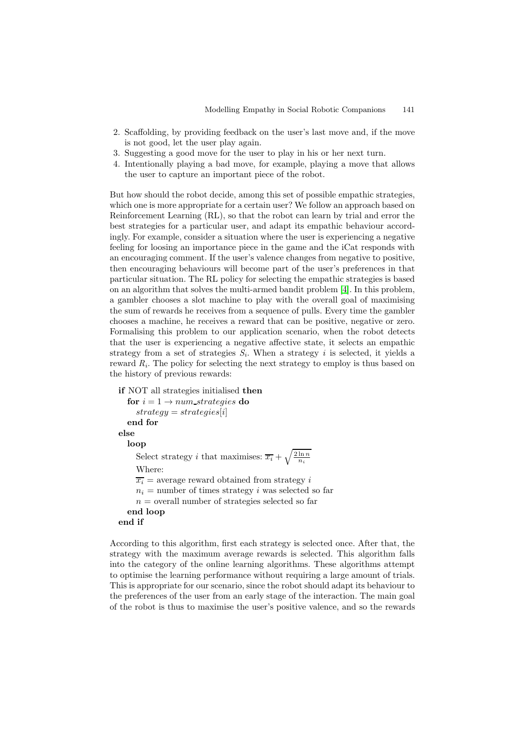- 2. Scaffolding, by providing feedback on the user's last move and, if the move is not good, let the user play again.
- 3. Suggesting a good move for the user to play in his or her next turn.
- 4. Intentionally playing a bad move, for example, playing a move that allows the user to capture an important piece of the robot.

But how should the robot decide, among this set of possible empathic strategies, which one is more appropriate for a certain user? We follow an approach based on Reinforcement Learning (RL), so that the robot can learn by trial and error the best strategies for a particular user, and adapt its empathic behaviour accordingly. For example, consider a situation where the user is experiencing a negative feeling for loosing an importance piece in the game and the iCat responds with an encouraging comment. If the user's valence changes from negative to positive, then encouraging behaviours will become part of the user's preferences in that particular situation. The RL policy for selecting the empathic strategies is based on an algorithm that solves the multi-armed bandit problem [\[4\]](#page-11-17). In this problem, a gambler chooses a slot machine to play with the overall goal of maximising the sum of rewards he receives from a sequence of pulls. Every time the gambler chooses a machine, he receives a reward that can be positive, negative or zero. Formalising this problem to our application scenario, when the robot detects that the user is experiencing a negative affective state, it selects an empathic strategy from a set of strategies  $S_i$ . When a strategy *i* is selected, it yields a reward  $R_i$ . The policy for selecting the next strategy to employ is thus based on the history of previous rewards:

**if** NOT all strategies initialised **then for**  $i = 1 \rightarrow num\_strategies$  **do** *strategy* <sup>=</sup> *strategies*[*i*] **end for else loop** Select strategy *i* that maximises:  $\overline{x_i} + \sqrt{\frac{2 \ln n}{n_i}}$ Where:  $\overline{x_i}$  = average reward obtained from strategy *i*  $n_i$  = number of times strategy *i* was selected so far  $n =$  overall number of strategies selected so far **end loop end if**

According to this algorithm, first each strategy is selected once. After that, the strategy with the maximum average rewards is selected. This algorithm falls into the category of the online learning algorithms. These algorithms attempt to optimise the learning performance without requiring a large amount of trials. This is appropriate for our scenario, since the robot should adapt its behaviour to the preferences of the user from an early stage of the interaction. The main goal of the robot is thus to maximise the user's positive valence, and so the rewards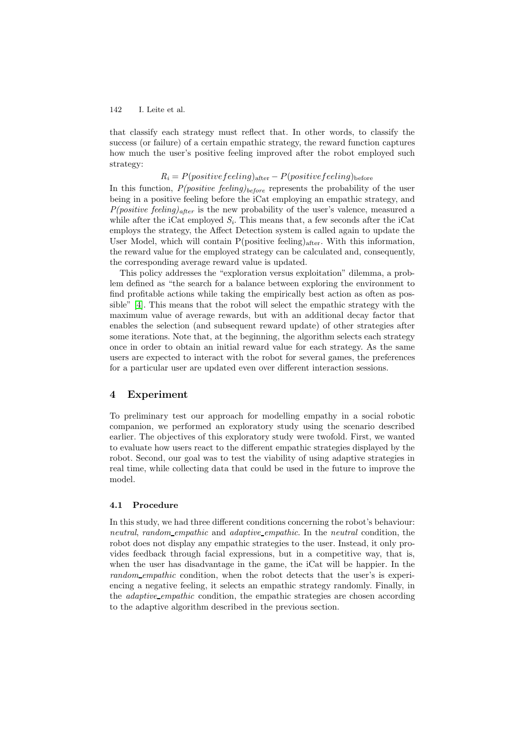that classify each strategy must reflect that. In other words, to classify the success (or failure) of a certain empathic strategy, the reward function captures how much the user's positive feeling improved after the robot employed such strategy:

# $R_i = P(positive feeling)_{after} - P(positive feeling)_{before}$

In this function, *P(positive feeling)before* represents the probability of the user being in a positive feeling before the iCat employing an empathic strategy, and *P(positive feeling)after* is the new probability of the user's valence, measured a while after the iCat employed  $S_i$ . This means that, a few seconds after the iCat employs the strategy, the Affect Detection system is called again to update the User Model, which will contain  $P(\text{positive feeling})_{after}$ . With this information, the reward value for the employed strategy can be calculated and, consequently, the corresponding average reward value is updated.

This policy addresses the "exploration versus exploitation" dilemma, a problem defined as "the search for a balance between exploring the environment to find profitable actions while taking the empirically best action as often as possible" [\[4\]](#page-11-17). This means that the robot will select the empathic strategy with the maximum value of average rewards, but with an additional decay factor that enables the selection (and subsequent reward update) of other strategies after some iterations. Note that, at the beginning, the algorithm selects each strategy once in order to obtain an initial reward value for each strategy. As the same users are expected to interact with the robot for several games, the preferences for a particular user are updated even over different interaction sessions.

### **4 Experiment**

To preliminary test our approach for modelling empathy in a social robotic companion, we performed an exploratory study using the scenario described earlier. The objectives of this exploratory study were twofold. First, we wanted to evaluate how users react to the different empathic strategies displayed by the robot. Second, our goal was to test the viability of using adaptive strategies in real time, while collecting data that could be used in the future to improve the model.

### **4.1 Procedure**

In this study, we had three different conditions concerning the robot's behaviour: *neutral*, *random empathic* and *adaptive empathic*. In the *neutral* condition, the robot does not display any empathic strategies to the user. Instead, it only provides feedback through facial expressions, but in a competitive way, that is, when the user has disadvantage in the game, the iCat will be happier. In the *random\_empathic* condition, when the robot detects that the user's is experiencing a negative feeling, it selects an empathic strategy randomly. Finally, in the *adaptive empathic* condition, the empathic strategies are chosen according to the adaptive algorithm described in the previous section.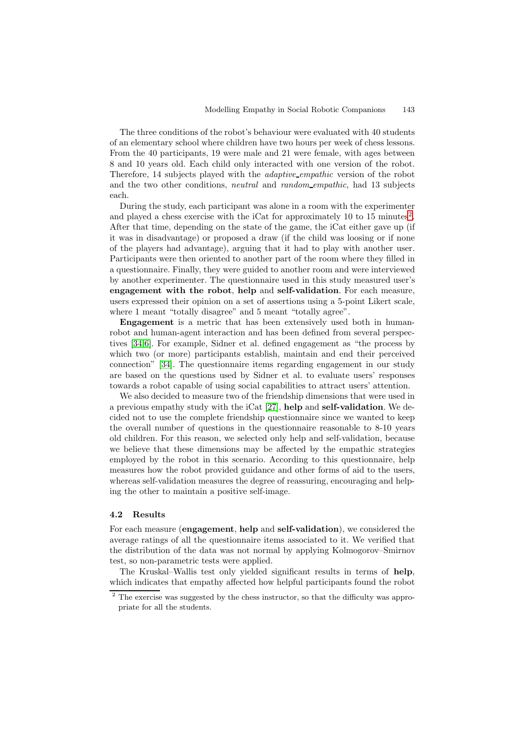The three conditions of the robot's behaviour were evaluated with 40 students of an elementary school where children have two hours per week of chess lessons. From the 40 participants, 19 were male and 21 were female, with ages between 8 and 10 years old. Each child only interacted with one version of the robot. Therefore, 14 subjects played with the *adaptive empathic* version of the robot and the two other conditions, *neutral* and *random empathic*, had 13 subjects each.

During the study, each participant was alone in a room with the experimenter and played a chess exercise with the iCat for approximately 10 to 15 minutes<sup>[2](#page-8-0)</sup>. After that time, depending on the state of the game, the iCat either gave up (if it was in disadvantage) or proposed a draw (if the child was loosing or if none of the players had advantage), arguing that it had to play with another user. Participants were then oriented to another part of the room where they filled in a questionnaire. Finally, they were guided to another room and were interviewed by another experimenter. The questionnaire used in this study measured user's **engagement with the robot**, **help** and **self-validation**. For each measure, users expressed their opinion on a set of assertions using a 5-point Likert scale, where 1 meant "totally disagree" and 5 meant "totally agree".

**Engagement** is a metric that has been extensively used both in humanrobot and human-agent interaction and has been defined from several perspectives [\[34,](#page-12-16)[6\]](#page-11-18). For example, Sidner et al. defined engagement as "the process by which two (or more) participants establish, maintain and end their perceived connection" [\[34\]](#page-12-16). The questionnaire items regarding engagement in our study are based on the questions used by Sidner et al. to evaluate users' responses towards a robot capable of using social capabilities to attract users' attention.

We also decided to measure two of the friendship dimensions that were used in a previous empathy study with the iCat [\[27\]](#page-12-15), **help** and **self-validation**. We decided not to use the complete friendship questionnaire since we wanted to keep the overall number of questions in the questionnaire reasonable to 8-10 years old children. For this reason, we selected only help and self-validation, because we believe that these dimensions may be affected by the empathic strategies employed by the robot in this scenario. According to this questionnaire, help measures how the robot provided guidance and other forms of aid to the users, whereas self-validation measures the degree of reassuring, encouraging and helping the other to maintain a positive self-image.

#### **4.2 Results**

For each measure (**engagement**, **help** and **self-validation**), we considered the average ratings of all the questionnaire items associated to it. We verified that the distribution of the data was not normal by applying Kolmogorov–Smirnov test, so non-parametric tests were applied.

The Kruskal–Wallis test only yielded significant results in terms of **help**, which indicates that empathy affected how helpful participants found the robot

<span id="page-8-0"></span><sup>2</sup> The exercise was suggested by the chess instructor, so that the difficulty was appropriate for all the students.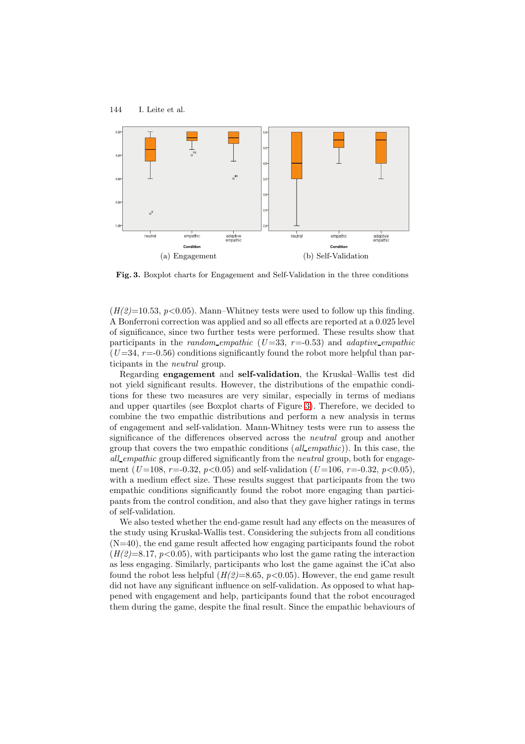<span id="page-9-0"></span>



**Fig. 3.** Boxplot charts for Engagement and Self-Validation in the three conditions

 $(H(2)=10.53, p<0.05)$ . Mann–Whitney tests were used to follow up this finding. A Bonferroni correction was applied and so all effects are reported at a 0.025 level of significance, since two further tests were performed. These results show that participants in the *random empathic* (*U* =33, *r*=-0.53) and *adaptive empathic*  $(U=34, r=-0.56)$  conditions significantly found the robot more helpful than participants in the *neutral* group.

Regarding **engagement** and **self-validation**, the Kruskal–Wallis test did not yield significant results. However, the distributions of the empathic conditions for these two measures are very similar, especially in terms of medians and upper quartiles (see Boxplot charts of Figure [3\)](#page-9-0). Therefore, we decided to combine the two empathic distributions and perform a new analysis in terms of engagement and self-validation. Mann-Whitney tests were run to assess the significance of the differences observed across the *neutral* group and another group that covers the two empathic conditions (*all empathic*)). In this case, the *all empathic* group differed significantly from the *neutral* group, both for engagement ( $U=108$ ,  $r=-0.32$ ,  $p<0.05$ ) and self-validation ( $U=106$ ,  $r=-0.32$ ,  $p<0.05$ ), with a medium effect size. These results suggest that participants from the two empathic conditions significantly found the robot more engaging than participants from the control condition, and also that they gave higher ratings in terms of self-validation.

We also tested whether the end-game result had any effects on the measures of the study using Kruskal-Wallis test. Considering the subjects from all conditions (N=40), the end game result affected how engaging participants found the robot  $(H(2)=8.17, p<0.05)$ , with participants who lost the game rating the interaction as less engaging. Similarly, participants who lost the game against the iCat also found the robot less helpful  $(H(2)=8.65, p<0.05)$ . However, the end game result did not have any significant influence on self-validation. As opposed to what happened with engagement and help, participants found that the robot encouraged them during the game, despite the final result. Since the empathic behaviours of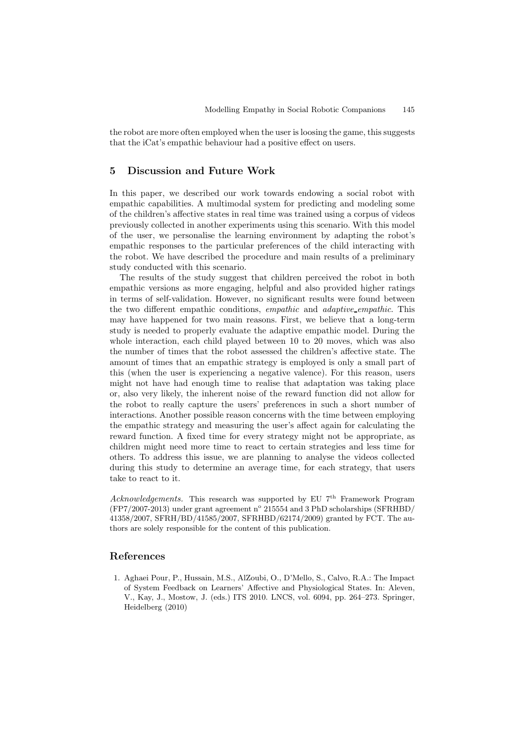the robot are more often employed when the user is loosing the game, this suggests that the iCat's empathic behaviour had a positive effect on users.

# **5 Discussion and Future Work**

In this paper, we described our work towards endowing a social robot with empathic capabilities. A multimodal system for predicting and modeling some of the children's affective states in real time was trained using a corpus of videos previously collected in another experiments using this scenario. With this model of the user, we personalise the learning environment by adapting the robot's empathic responses to the particular preferences of the child interacting with the robot. We have described the procedure and main results of a preliminary study conducted with this scenario.

The results of the study suggest that children perceived the robot in both empathic versions as more engaging, helpful and also provided higher ratings in terms of self-validation. However, no significant results were found between the two different empathic conditions, *empathic* and *adaptive empathic*. This may have happened for two main reasons. First, we believe that a long-term study is needed to properly evaluate the adaptive empathic model. During the whole interaction, each child played between 10 to 20 moves, which was also the number of times that the robot assessed the children's affective state. The amount of times that an empathic strategy is employed is only a small part of this (when the user is experiencing a negative valence). For this reason, users might not have had enough time to realise that adaptation was taking place or, also very likely, the inherent noise of the reward function did not allow for the robot to really capture the users' preferences in such a short number of interactions. Another possible reason concerns with the time between employing the empathic strategy and measuring the user's affect again for calculating the reward function. A fixed time for every strategy might not be appropriate, as children might need more time to react to certain strategies and less time for others. To address this issue, we are planning to analyse the videos collected during this study to determine an average time, for each strategy, that users take to react to it.

*Acknowledgements.* This research was supported by EU 7<sup>th</sup> Framework Program  $(FP7/2007-2013)$  under grant agreement n° 215554 and 3 PhD scholarships (SFRHBD/ 41358/2007, SFRH/BD/41585/2007, SFRHBD/62174/2009) granted by FCT. The authors are solely responsible for the content of this publication.

# **References**

<span id="page-10-0"></span>1. Aghaei Pour, P., Hussain, M.S., AlZoubi, O., D'Mello, S., Calvo, R.A.: The Impact of System Feedback on Learners' Affective and Physiological States. In: Aleven, V., Kay, J., Mostow, J. (eds.) ITS 2010. LNCS, vol. 6094, pp. 264–273. Springer, Heidelberg (2010)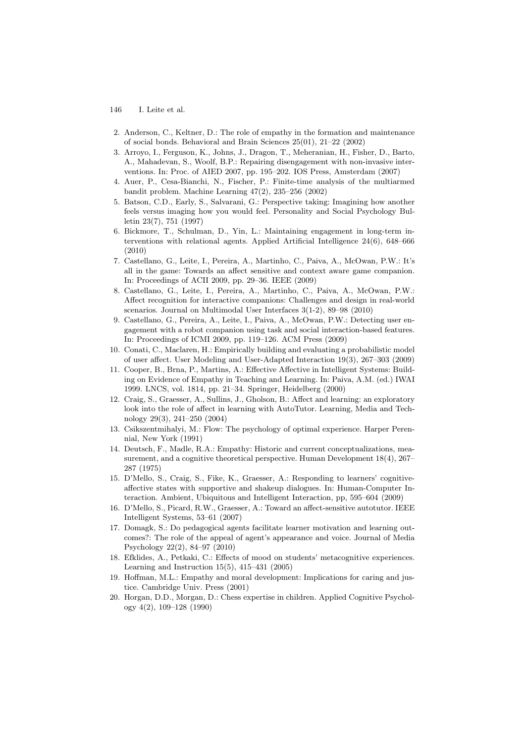- <span id="page-11-7"></span>2. Anderson, C., Keltner, D.: The role of empathy in the formation and maintenance of social bonds. Behavioral and Brain Sciences 25(01), 21–22 (2002)
- <span id="page-11-11"></span>3. Arroyo, I., Ferguson, K., Johns, J., Dragon, T., Meheranian, H., Fisher, D., Barto, A., Mahadevan, S., Woolf, B.P.: Repairing disengagement with non-invasive interventions. In: Proc. of AIED 2007, pp. 195–202. IOS Press, Amsterdam (2007)
- <span id="page-11-17"></span>4. Auer, P., Cesa-Bianchi, N., Fischer, P.: Finite-time analysis of the multiarmed bandit problem. Machine Learning 47(2), 235–256 (2002)
- <span id="page-11-15"></span>5. Batson, C.D., Early, S., Salvarani, G.: Perspective taking: Imagining how another feels versus imaging how you would feel. Personality and Social Psychology Bulletin 23(7), 751 (1997)
- <span id="page-11-18"></span>6. Bickmore, T., Schulman, D., Yin, L.: Maintaining engagement in long-term interventions with relational agents. Applied Artificial Intelligence 24(6), 648–666 (2010)
- <span id="page-11-16"></span>7. Castellano, G., Leite, I., Pereira, A., Martinho, C., Paiva, A., McOwan, P.W.: It's all in the game: Towards an affect sensitive and context aware game companion. In: Proceedings of ACII 2009, pp. 29–36. IEEE (2009)
- <span id="page-11-13"></span>8. Castellano, G., Leite, I., Pereira, A., Martinho, C., Paiva, A., McOwan, P.W.: Affect recognition for interactive companions: Challenges and design in real-world scenarios. Journal on Multimodal User Interfaces 3(1-2), 89–98 (2010)
- <span id="page-11-10"></span>9. Castellano, G., Pereira, A., Leite, I., Paiva, A., McOwan, P.W.: Detecting user engagement with a robot companion using task and social interaction-based features. In: Proceedings of ICMI 2009, pp. 119–126. ACM Press (2009)
- <span id="page-11-5"></span>10. Conati, C., Maclaren, H.: Empirically building and evaluating a probabilistic model of user affect. User Modeling and User-Adapted Interaction 19(3), 267–303 (2009)
- <span id="page-11-8"></span>11. Cooper, B., Brna, P., Martins, A.: Effective Affective in Intelligent Systems: Building on Evidence of Empathy in Teaching and Learning. In: Paiva, A.M. (ed.) IWAI 1999. LNCS, vol. 1814, pp. 21–34. Springer, Heidelberg (2000)
- <span id="page-11-1"></span>12. Craig, S., Graesser, A., Sullins, J., Gholson, B.: Affect and learning: an exploratory look into the role of affect in learning with AutoTutor. Learning, Media and Technology 29(3), 241–250 (2004)
- <span id="page-11-2"></span>13. Csikszentmihalyi, M.: Flow: The psychology of optimal experience. Harper Perennial, New York (1991)
- <span id="page-11-14"></span>14. Deutsch, F., Madle, R.A.: Empathy: Historic and current conceptualizations, measurement, and a cognitive theoretical perspective. Human Development 18(4), 267– 287 (1975)
- <span id="page-11-4"></span>15. D'Mello, S., Craig, S., Fike, K., Graesser, A.: Responding to learners' cognitiveaffective states with supportive and shakeup dialogues. In: Human-Computer Interaction. Ambient, Ubiquitous and Intelligent Interaction, pp, 595–604 (2009)
- <span id="page-11-9"></span>16. D'Mello, S., Picard, R.W., Graesser, A.: Toward an affect-sensitive autotutor. IEEE Intelligent Systems, 53–61 (2007)
- <span id="page-11-3"></span>17. Domagk, S.: Do pedagogical agents facilitate learner motivation and learning outcomes?: The role of the appeal of agent's appearance and voice. Journal of Media Psychology 22(2), 84–97 (2010)
- <span id="page-11-0"></span>18. Efklides, A., Petkaki, C.: Effects of mood on students' metacognitive experiences. Learning and Instruction 15(5), 415–431 (2005)
- <span id="page-11-6"></span>19. Hoffman, M.L.: Empathy and moral development: Implications for caring and justice. Cambridge Univ. Press (2001)
- <span id="page-11-12"></span>20. Horgan, D.D., Morgan, D.: Chess expertise in children. Applied Cognitive Psychology 4(2), 109–128 (1990)